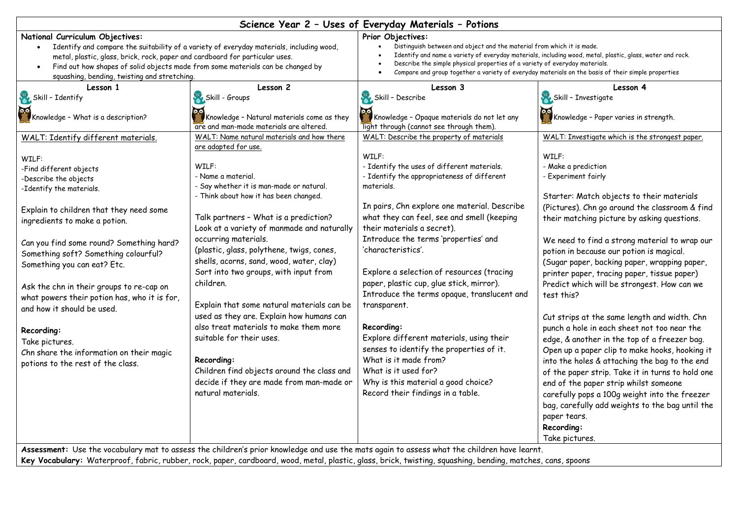| Science Year 2 - Uses of Everyday Materials - Potions                                                                                                                                                                                                                                                                                                                                                                                                                                                                                                                                                                                                                                        |                                                                                                                                                                                                                                                                                                                                                                                                                                                                                                                                                                                                                                                                                                                                                                                                                                                                            |                                                                                                                                                                                                                                                                                                                                                                                                                                                                                                                                                                                                                                                                                                                                                                                                                                                                               |                                                                                                                                                                                                                                                                                                                                                                                                                                                                                                                                                                                                                                                                                                                                                                                                                                                                                                                                                                                                                                                                                              |
|----------------------------------------------------------------------------------------------------------------------------------------------------------------------------------------------------------------------------------------------------------------------------------------------------------------------------------------------------------------------------------------------------------------------------------------------------------------------------------------------------------------------------------------------------------------------------------------------------------------------------------------------------------------------------------------------|----------------------------------------------------------------------------------------------------------------------------------------------------------------------------------------------------------------------------------------------------------------------------------------------------------------------------------------------------------------------------------------------------------------------------------------------------------------------------------------------------------------------------------------------------------------------------------------------------------------------------------------------------------------------------------------------------------------------------------------------------------------------------------------------------------------------------------------------------------------------------|-------------------------------------------------------------------------------------------------------------------------------------------------------------------------------------------------------------------------------------------------------------------------------------------------------------------------------------------------------------------------------------------------------------------------------------------------------------------------------------------------------------------------------------------------------------------------------------------------------------------------------------------------------------------------------------------------------------------------------------------------------------------------------------------------------------------------------------------------------------------------------|----------------------------------------------------------------------------------------------------------------------------------------------------------------------------------------------------------------------------------------------------------------------------------------------------------------------------------------------------------------------------------------------------------------------------------------------------------------------------------------------------------------------------------------------------------------------------------------------------------------------------------------------------------------------------------------------------------------------------------------------------------------------------------------------------------------------------------------------------------------------------------------------------------------------------------------------------------------------------------------------------------------------------------------------------------------------------------------------|
| National Curriculum Objectives:<br>Identify and compare the suitability of a variety of everyday materials, including wood,<br>$\bullet$<br>metal, plastic, glass, brick, rock, paper and cardboard for particular uses.<br>Find out how shapes of solid objects made from some materials can be changed by<br>$\bullet$                                                                                                                                                                                                                                                                                                                                                                     |                                                                                                                                                                                                                                                                                                                                                                                                                                                                                                                                                                                                                                                                                                                                                                                                                                                                            | Prior Objectives:<br>Distinguish between and object and the material from which it is made.<br>Identify and name a variety of everyday materials, including wood, metal, plastic, glass, water and rock.<br>Describe the simple physical properties of a variety of everyday materials.<br>Compare and group together a variety of everyday materials on the basis of their simple properties                                                                                                                                                                                                                                                                                                                                                                                                                                                                                 |                                                                                                                                                                                                                                                                                                                                                                                                                                                                                                                                                                                                                                                                                                                                                                                                                                                                                                                                                                                                                                                                                              |
| squashing, bending, twisting and stretching.<br>Lesson 1<br>Skill - Identify<br>Knowledge - What is a description?<br>WALT: Identify different materials.<br>WILF:<br>-Find different objects<br>-Describe the objects<br>-Identify the materials.<br>Explain to children that they need some<br>ingredients to make a potion.<br>Can you find some round? Something hard?<br>Something soft? Something colourful?<br>Something you can eat? Etc.<br>Ask the chn in their groups to re-cap on<br>what powers their potion has, who it is for,<br>and how it should be used.<br>Recording:<br>Take pictures.<br>Chn share the information on their magic<br>potions to the rest of the class. | Lesson 2<br>Skill - Groups<br>Knowledge - Natural materials come as they<br>are and man-made materials are altered.<br>WALT: Name natural materials and how there<br>are adapted for use.<br>WILF:<br>- Name a material.<br>- Say whether it is man-made or natural.<br>- Think about how it has been changed.<br>Talk partners - What is a prediction?<br>Look at a variety of manmade and naturally<br>occurring materials.<br>(plastic, glass, polythene, twigs, cones,<br>shells, acorns, sand, wood, water, clay)<br>Sort into two groups, with input from<br>children.<br>Explain that some natural materials can be<br>used as they are. Explain how humans can<br>also treat materials to make them more<br>suitable for their uses.<br>Recording:<br>Children find objects around the class and<br>decide if they are made from man-made or<br>natural materials. | Lesson 3<br>Skill - Describe<br>Knowledge - Opaque materials do not let any<br>light through (cannot see through them).<br>WALT: Describe the property of materials<br>WILF:<br>- Identify the uses of different materials.<br>- Identify the appropriateness of different<br>materials.<br>In pairs, Chn explore one material. Describe<br>what they can feel, see and smell (keeping<br>their materials a secret).<br>Introduce the terms 'properties' and<br>'characteristics'.<br>Explore a selection of resources (tracing<br>paper, plastic cup, glue stick, mirror).<br>Introduce the terms opaque, translucent and<br>transparent.<br>Recording:<br>Explore different materials, using their<br>senses to identify the properties of it.<br>What is it made from?<br>What is it used for?<br>Why is this material a good choice?<br>Record their findings in a table. | Lesson 4<br>Skill - Investigate<br>Knowledge - Paper varies in strength.<br>WALT: Investigate which is the strongest paper.<br>WILF:<br>- Make a prediction<br>- Experiment fairly<br>Starter: Match objects to their materials<br>(Pictures). Chn go around the classroom & find<br>their matching picture by asking questions.<br>We need to find a strong material to wrap our<br>potion in because our potion is magical.<br>(Sugar paper, backing paper, wrapping paper,<br>printer paper, tracing paper, tissue paper)<br>Predict which will be strongest. How can we<br>test this?<br>Cut strips at the same length and width. Chn<br>punch a hole in each sheet not too near the<br>edge, & another in the top of a freezer bag.<br>Open up a paper clip to make hooks, hooking it<br>into the holes & attaching the bag to the end<br>of the paper strip. Take it in turns to hold one<br>end of the paper strip whilst someone<br>carefully pops a 100g weight into the freezer<br>bag, carefully add weights to the bag until the<br>paper tears.<br>Recording:<br>Take pictures. |
| Assessment: Use the vocabulary mat to assess the children's prior knowledge and use the mats again to assess what the children have learnt.                                                                                                                                                                                                                                                                                                                                                                                                                                                                                                                                                  |                                                                                                                                                                                                                                                                                                                                                                                                                                                                                                                                                                                                                                                                                                                                                                                                                                                                            |                                                                                                                                                                                                                                                                                                                                                                                                                                                                                                                                                                                                                                                                                                                                                                                                                                                                               |                                                                                                                                                                                                                                                                                                                                                                                                                                                                                                                                                                                                                                                                                                                                                                                                                                                                                                                                                                                                                                                                                              |

**Key Vocabulary:** Waterproof, fabric, rubber, rock, paper, cardboard, wood, metal, plastic, glass, brick, twisting, squashing, bending, matches, cans, spoons